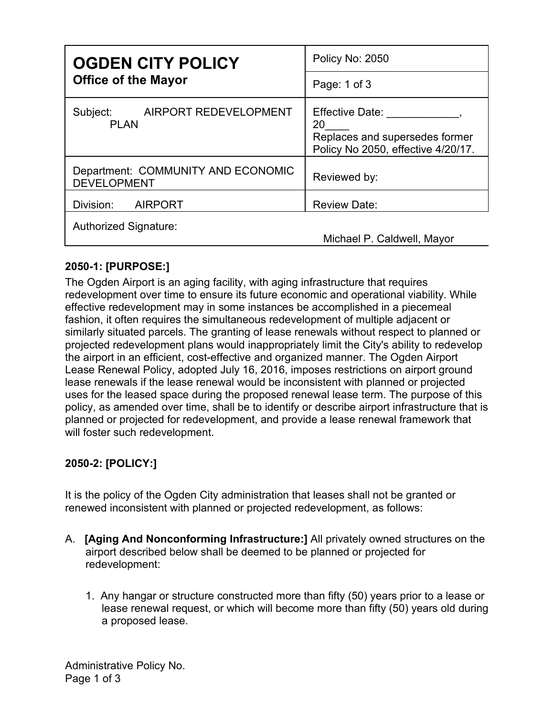| <b>OGDEN CITY POLICY</b><br><b>Office of the Mayor</b>   | Policy No: 2050                                                                               |
|----------------------------------------------------------|-----------------------------------------------------------------------------------------------|
|                                                          | Page: 1 of 3                                                                                  |
| Subject:<br>AIRPORT REDEVELOPMENT<br><b>PLAN</b>         | Effective Date:<br>20<br>Replaces and supersedes former<br>Policy No 2050, effective 4/20/17. |
| Department: COMMUNITY AND ECONOMIC<br><b>DEVELOPMENT</b> | Reviewed by:                                                                                  |
| Division:<br><b>AIRPORT</b>                              | <b>Review Date:</b>                                                                           |
| Authorized Signature:                                    | Michael P. Caldwell, Mayor                                                                    |

## **2050-1: [PURPOSE:]**

The Ogden Airport is an aging facility, with aging infrastructure that requires redevelopment over time to ensure its future economic and operational viability. While effective redevelopment may in some instances be accomplished in a piecemeal fashion, it often requires the simultaneous redevelopment of multiple adjacent or similarly situated parcels. The granting of lease renewals without respect to planned or projected redevelopment plans would inappropriately limit the City's ability to redevelop the airport in an efficient, cost-effective and organized manner. The Ogden Airport Lease Renewal Policy, adopted July 16, 2016, imposes restrictions on airport ground lease renewals if the lease renewal would be inconsistent with planned or projected uses for the leased space during the proposed renewal lease term. The purpose of this policy, as amended over time, shall be to identify or describe airport infrastructure that is planned or projected for redevelopment, and provide a lease renewal framework that will foster such redevelopment.

## **2050-2: [POLICY:]**

It is the policy of the Ogden City administration that leases shall not be granted or renewed inconsistent with planned or projected redevelopment, as follows:

- A. **[Aging And Nonconforming Infrastructure:]** All privately owned structures on the airport described below shall be deemed to be planned or projected for redevelopment:
	- 1. Any hangar or structure constructed more than fifty (50) years prior to a lease or lease renewal request, or which will become more than fifty (50) years old during a proposed lease.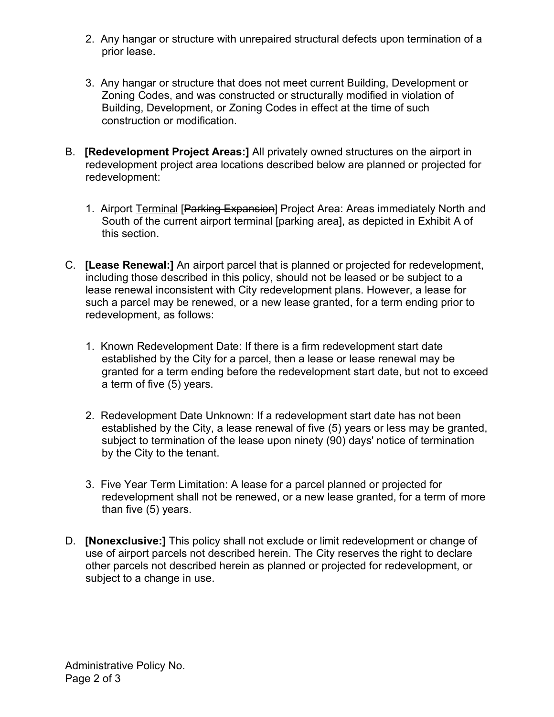- 2. Any hangar or structure with unrepaired structural defects upon termination of a prior lease.
- 3. Any hangar or structure that does not meet current Building, Development or Zoning Codes, and was constructed or structurally modified in violation of Building, Development, or Zoning Codes in effect at the time of such construction or modification.
- B. **[Redevelopment Project Areas:]** All privately owned structures on the airport in redevelopment project area locations described below are planned or projected for redevelopment:
	- 1. Airport Terminal [Parking Expansion] Project Area: Areas immediately North and South of the current airport terminal [parking area], as depicted in Exhibit A of this section.
- C. **[Lease Renewal:]** An airport parcel that is planned or projected for redevelopment, including those described in this policy, should not be leased or be subject to a lease renewal inconsistent with City redevelopment plans. However, a lease for such a parcel may be renewed, or a new lease granted, for a term ending prior to redevelopment, as follows:
	- 1. Known Redevelopment Date: If there is a firm redevelopment start date established by the City for a parcel, then a lease or lease renewal may be granted for a term ending before the redevelopment start date, but not to exceed a term of five (5) years.
	- 2. Redevelopment Date Unknown: If a redevelopment start date has not been established by the City, a lease renewal of five (5) years or less may be granted, subject to termination of the lease upon ninety (90) days' notice of termination by the City to the tenant.
	- 3. Five Year Term Limitation: A lease for a parcel planned or projected for redevelopment shall not be renewed, or a new lease granted, for a term of more than five (5) years.
- D. **[Nonexclusive:]** This policy shall not exclude or limit redevelopment or change of use of airport parcels not described herein. The City reserves the right to declare other parcels not described herein as planned or projected for redevelopment, or subject to a change in use.